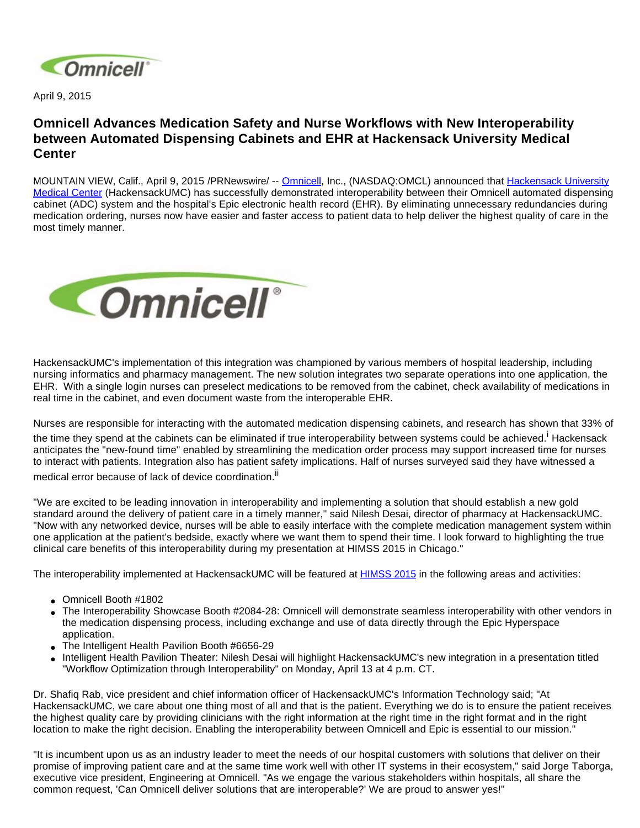

April 9, 2015

## **Omnicell Advances Medication Safety and Nurse Workflows with New Interoperability between Automated Dispensing Cabinets and EHR at Hackensack University Medical Center**

MOUNTAIN VIEW, Calif., April 9, 2015 /PRNewswire/ -- [Omnicell](http://www.omnicell.com/), Inc., (NASDAQ:OMCL) announced that [Hackensack University](http://www.hackensackumc.org/)  [Medical Center](http://www.hackensackumc.org/) (HackensackUMC) has successfully demonstrated interoperability between their Omnicell automated dispensing cabinet (ADC) system and the hospital's Epic electronic health record (EHR). By eliminating unnecessary redundancies during medication ordering, nurses now have easier and faster access to patient data to help deliver the highest quality of care in the most timely manner.



HackensackUMC's implementation of this integration was championed by various members of hospital leadership, including nursing informatics and pharmacy management. The new solution integrates two separate operations into one application, the EHR. With a single login nurses can preselect medications to be removed from the cabinet, check availability of medications in real time in the cabinet, and even document waste from the interoperable EHR.

Nurses are responsible for interacting with the automated medication dispensing cabinets, and research has shown that 33% of

the time they spend at the cabinets can be eliminated if true interoperability between systems could be achieved.<sup>i</sup> Hackensack anticipates the "new-found time" enabled by streamlining the medication order process may support increased time for nurses to interact with patients. Integration also has patient safety implications. Half of nurses surveyed said they have witnessed a

medical error because of lack of device coordination.<sup>ii</sup>

"We are excited to be leading innovation in interoperability and implementing a solution that should establish a new gold standard around the delivery of patient care in a timely manner," said Nilesh Desai, director of pharmacy at HackensackUMC. "Now with any networked device, nurses will be able to easily interface with the complete medication management system within one application at the patient's bedside, exactly where we want them to spend their time. I look forward to highlighting the true clinical care benefits of this interoperability during my presentation at HIMSS 2015 in Chicago."

The interoperability implemented at HackensackUMC will be featured at **[HIMSS 2015](http://www.omnicell.com/News_and_Events/Events/HIMSS_Conference.aspx)** in the following areas and activities:

- Omnicell Booth #1802
- The Interoperability Showcase Booth #2084-28: Omnicell will demonstrate seamless interoperability with other vendors in the medication dispensing process, including exchange and use of data directly through the Epic Hyperspace application.
- The Intelligent Health Pavilion Booth #6656-29
- Intelligent Health Pavilion Theater: Nilesh Desai will highlight HackensackUMC's new integration in a presentation titled "Workflow Optimization through Interoperability" on Monday, April 13 at 4 p.m. CT.

Dr. Shafiq Rab, vice president and chief information officer of HackensackUMC's Information Technology said; "At HackensackUMC, we care about one thing most of all and that is the patient. Everything we do is to ensure the patient receives the highest quality care by providing clinicians with the right information at the right time in the right format and in the right location to make the right decision. Enabling the interoperability between Omnicell and Epic is essential to our mission."

"It is incumbent upon us as an industry leader to meet the needs of our hospital customers with solutions that deliver on their promise of improving patient care and at the same time work well with other IT systems in their ecosystem," said Jorge Taborga, executive vice president, Engineering at Omnicell. "As we engage the various stakeholders within hospitals, all share the common request, 'Can Omnicell deliver solutions that are interoperable?' We are proud to answer yes!"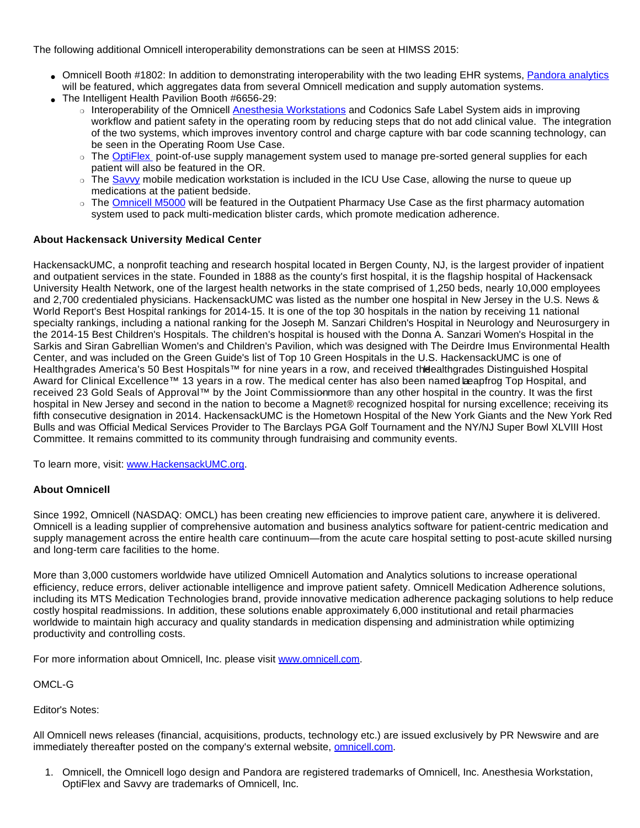The following additional Omnicell interoperability demonstrations can be seen at HIMSS 2015:

- Omnicell Booth #1802: In addition to demonstrating interoperability with the two leading EHR systems, [Pandora analytics](http://www.omnicell.com/Products/Business_Analytics/Pandora_Analytics.aspx) will be featured, which aggregates data from several Omnicell medication and supply automation systems.
- The Intelligent Health Pavilion Booth #6656-29:
	- o Interoperability of the Omnicell [Anesthesia Workstations](http://www.omnicell.com/Products/Medication_Dispensing/Anesthesia_Workstation_G4) and Codonics Safe Label System aids in improving workflow and patient safety in the operating room by reducing steps that do not add clinical value. The integration of the two systems, which improves inventory control and charge capture with bar code scanning technology, can be seen in the Operating Room Use Case.
	- The [OptiFlex](http://www.omnicell.com/Products/Supply_Management/OptiFlex_Procedure_Systems) point-of-use supply management system used to manage pre-sorted general supplies for each patient will also be featured in the OR.
	- The [Savvy](http://www.omnicell.com/Products/Medication_Dispensing/Savvy_Mobile_Medication_System) mobile medication workstation is included in the ICU Use Case, allowing the nurse to queue up medications at the patient bedside.
	- ❍ The [Omnicell M5000](http://www.omnicell.com/News_and_Events/Press_Releases/Omnicell_Launches_Its_First_Fully_Automated_Multimed_Packing_Solution) will be featured in the Outpatient Pharmacy Use Case as the first pharmacy automation system used to pack multi-medication blister cards, which promote medication adherence.

## **About Hackensack University Medical Center**

HackensackUMC, a nonprofit teaching and research hospital located in Bergen County, NJ, is the largest provider of inpatient and outpatient services in the state. Founded in 1888 as the county's first hospital, it is the flagship hospital of Hackensack University Health Network, one of the largest health networks in the state comprised of 1,250 beds, nearly 10,000 employees and 2,700 credentialed physicians. HackensackUMC was listed as the number one hospital in New Jersey in the U.S. News & World Report's Best Hospital rankings for 2014-15. It is one of the top 30 hospitals in the nation by receiving 11 national specialty rankings, including a national ranking for the Joseph M. Sanzari Children's Hospital in Neurology and Neurosurgery in the 2014-15 Best Children's Hospitals. The children's hospital is housed with the Donna A. Sanzari Women's Hospital in the Sarkis and Siran Gabrellian Women's and Children's Pavilion, which was designed with The Deirdre Imus Environmental Health Center, and was included on the Green Guide's list of Top 10 Green Hospitals in the U.S. HackensackUMC is one of Healthgrades America's 50 Best Hospitals™ for nine years in a row, and received the ealthgrades Distinguished Hospital Award for Clinical Excellence™ 13 years in a row. The medical center has also been named beapfrog Top Hospital, and received 23 Gold Seals of Approval™ by the Joint Commissionmore than any other hospital in the country. It was the first hospital in New Jersey and second in the nation to become a Magnet® recognized hospital for nursing excellence; receiving its fifth consecutive designation in 2014. HackensackUMC is the Hometown Hospital of the New York Giants and the New York Red Bulls and was Official Medical Services Provider to The Barclays PGA Golf Tournament and the NY/NJ Super Bowl XLVIII Host Committee. It remains committed to its community through fundraising and community events.

To learn more, visit: [www.HackensackUMC.org.](http://www.hackensackumc.org/)

## **About Omnicell**

Since 1992, Omnicell (NASDAQ: OMCL) has been creating new efficiencies to improve patient care, anywhere it is delivered. Omnicell is a leading supplier of comprehensive automation and business analytics software for patient-centric medication and supply management across the entire health care continuum—from the acute care hospital setting to post-acute skilled nursing and long-term care facilities to the home.

More than 3,000 customers worldwide have utilized Omnicell Automation and Analytics solutions to increase operational efficiency, reduce errors, deliver actionable intelligence and improve patient safety. Omnicell Medication Adherence solutions, including its MTS Medication Technologies brand, provide innovative medication adherence packaging solutions to help reduce costly hospital readmissions. In addition, these solutions enable approximately 6,000 institutional and retail pharmacies worldwide to maintain high accuracy and quality standards in medication dispensing and administration while optimizing productivity and controlling costs.

For more information about Omnicell, Inc. please visit [www.omnicell.com](http://www.omnicell.com/).

OMCL-G

Editor's Notes:

All Omnicell news releases (financial, acquisitions, products, technology etc.) are issued exclusively by PR Newswire and are immediately thereafter posted on the company's external website, [omnicell.com](http://www.omnicell.com/).

1. Omnicell, the Omnicell logo design and Pandora are registered trademarks of Omnicell, Inc. Anesthesia Workstation, OptiFlex and Savvy are trademarks of Omnicell, Inc.